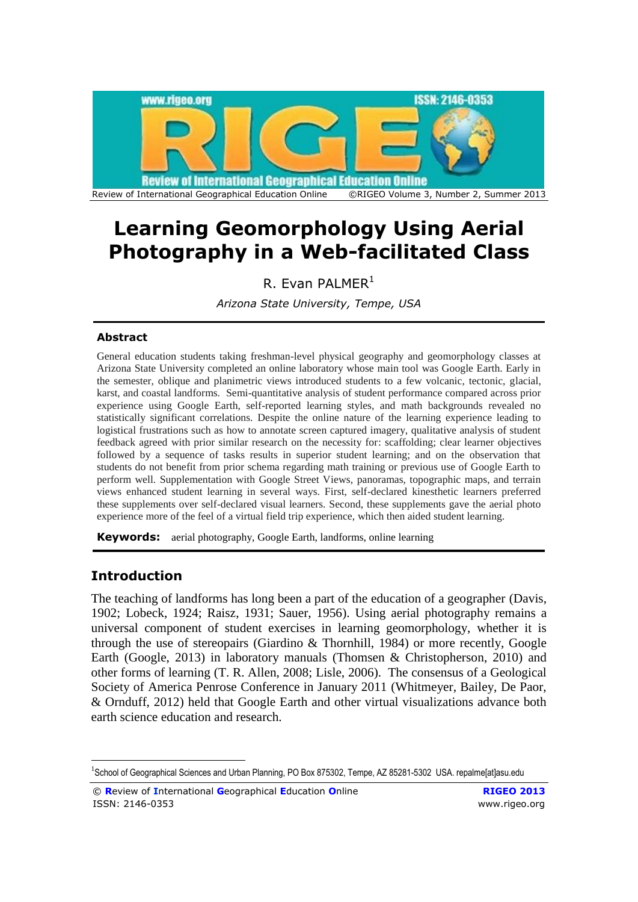

# **Learning Geomorphology Using Aerial Photography in a Web-facilitated Class**

R. Evan PALMER $<sup>1</sup>$ </sup>

*Arizona State University, Tempe, USA*

## **Abstract**

General education students taking freshman-level physical geography and geomorphology classes at Arizona State University completed an online laboratory whose main tool was Google Earth. Early in the semester, oblique and planimetric views introduced students to a few volcanic, tectonic, glacial, karst, and coastal landforms. Semi-quantitative analysis of student performance compared across prior experience using Google Earth, self-reported learning styles, and math backgrounds revealed no statistically significant correlations. Despite the online nature of the learning experience leading to logistical frustrations such as how to annotate screen captured imagery, qualitative analysis of student feedback agreed with prior similar research on the necessity for: scaffolding; clear learner objectives followed by a sequence of tasks results in superior student learning; and on the observation that students do not benefit from prior schema regarding math training or previous use of Google Earth to perform well. Supplementation with Google Street Views, panoramas, topographic maps, and terrain views enhanced student learning in several ways. First, self-declared kinesthetic learners preferred these supplements over self-declared visual learners. Second, these supplements gave the aerial photo experience more of the feel of a virtual field trip experience, which then aided student learning.

**Keywords:** aerial photography, Google Earth, landforms, online learning

# **Introduction**

1

The teaching of landforms has long been a part of the education of a geographer [\(Davis,](#page-16-0)  [1902;](#page-16-0) [Lobeck, 1924;](#page-18-0) [Raisz, 1931;](#page-18-1) [Sauer, 1956\)](#page-18-2). Using aerial photography remains a universal component of student exercises in learning geomorphology, whether it is through the use of stereopairs [\(Giardino & Thornhill, 1984\)](#page-16-1) or more recently, Google Earth [\(Google, 2013\)](#page-16-2) in laboratory manuals [\(Thomsen & Christopherson, 2010\)](#page-18-3) and other forms of learning [\(T. R. Allen, 2008;](#page-15-0) [Lisle, 2006\)](#page-17-0). The consensus of a Geological Society of America Penrose Conference in January 2011 [\(Whitmeyer, Bailey, De Paor,](#page-19-0)  [& Ornduff, 2012\)](#page-19-0) held that Google Earth and other virtual visualizations advance both earth science education and research.

<sup>&</sup>lt;sup>1</sup>School of Geographical Sciences and Urban Planning, PO Box 875302, Tempe, AZ 85281-5302 USA. repalme[at]asu.edu

<sup>©</sup> **R**eview of **I**nternational **G**eographical **E**ducation **O**nline **RIGEO 2013** ISSN: 2146-0353 www.rigeo.org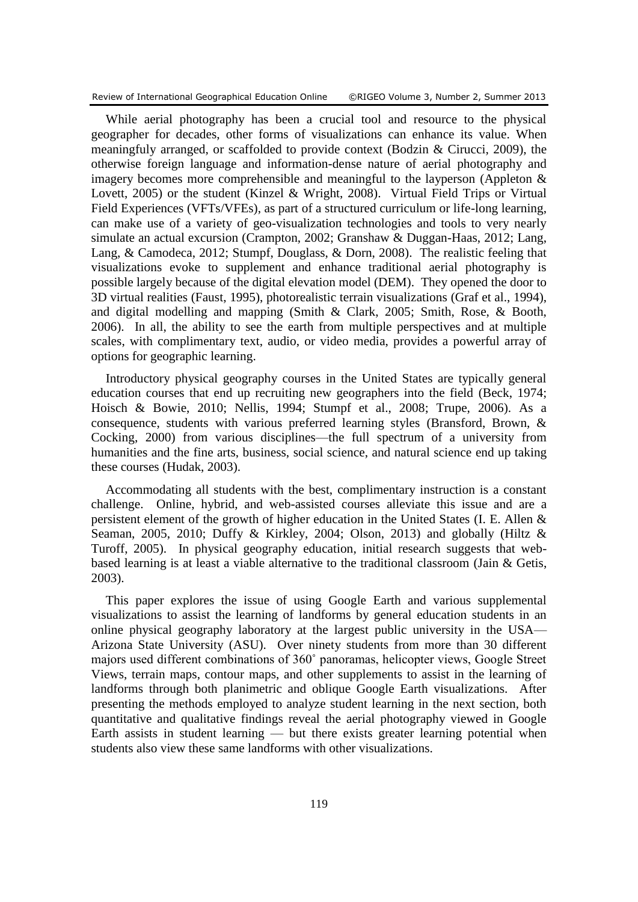Review of International Geographical Education Online ©RIGEO Volume 3, Number 2, Summer 2013

While aerial photography has been a crucial tool and resource to the physical geographer for decades, other forms of visualizations can enhance its value. When meaningfuly arranged, or scaffolded to provide context [\(Bodzin & Cirucci, 2009\)](#page-15-1), the otherwise foreign language and information-dense nature of aerial photography and imagery becomes more comprehensible and meaningful to the layperson (Appleton  $\&$ [Lovett, 2005\)](#page-15-2) or the student (Kinzel & [Wright, 2008\)](#page-17-1). Virtual Field Trips or Virtual Field Experiences (VFTs/VFEs), as part of a structured curriculum or life-long learning, can make use of a variety of geo-visualization technologies and tools to very nearly simulate an actual excursion [\(Crampton, 2002;](#page-16-3) [Granshaw & Duggan-Haas, 2012;](#page-16-4) [Lang,](#page-17-2)  [Lang, & Camodeca, 2012;](#page-17-2) [Stumpf, Douglass, & Dorn, 2008\)](#page-18-4). The realistic feeling that visualizations evoke to supplement and enhance traditional aerial photography is possible largely because of the digital elevation model (DEM). They opened the door to 3D virtual realities [\(Faust, 1995\)](#page-16-5), photorealistic terrain visualizations [\(Graf et al., 1994\)](#page-16-6), and digital modelling and mapping [\(Smith & Clark, 2005;](#page-18-5) [Smith, Rose, & Booth,](#page-18-6)  [2006\)](#page-18-6). In all, the ability to see the earth from multiple perspectives and at multiple scales, with complimentary text, audio, or video media, provides a powerful array of options for geographic learning.

Introductory physical geography courses in the United States are typically general education courses that end up recruiting new geographers into the field [\(Beck, 1974;](#page-15-3) [Hoisch & Bowie, 2010;](#page-17-3) [Nellis, 1994;](#page-18-7) [Stumpf et al., 2008;](#page-18-4) [Trupe, 2006\)](#page-19-1). As a consequence, students with various preferred learning styles [\(Bransford, Brown, &](#page-16-7)  [Cocking, 2000\)](#page-16-7) from various disciplines—the full spectrum of a university from humanities and the fine arts, business, social science, and natural science end up taking these courses [\(Hudak, 2003\)](#page-17-4).

Accommodating all students with the best, complimentary instruction is a constant challenge. Online, hybrid, and web-assisted courses alleviate this issue and are a persistent element of the growth of higher education in the United States [\(I. E. Allen &](#page-15-4)  [Seaman, 2005,](#page-15-4) [2010;](#page-15-5) [Duffy & Kirkley, 2004;](#page-16-8) [Olson, 2013\)](#page-18-8) and globally (Hiltz  $\&$ [Turoff, 2005\)](#page-17-5). In physical geography education, initial research suggests that webbased learning is at least a viable alternative to the traditional classroom [\(Jain & Getis,](#page-17-6)  [2003\)](#page-17-6).

This paper explores the issue of using Google Earth and various supplemental visualizations to assist the learning of landforms by general education students in an online physical geography laboratory at the largest public university in the USA— Arizona State University (ASU). Over ninety students from more than 30 different majors used different combinations of 360˚ panoramas, helicopter views, Google Street Views, terrain maps, contour maps, and other supplements to assist in the learning of landforms through both planimetric and oblique Google Earth visualizations. After presenting the methods employed to analyze student learning in the next section, both quantitative and qualitative findings reveal the aerial photography viewed in Google Earth assists in student learning — but there exists greater learning potential when students also view these same landforms with other visualizations.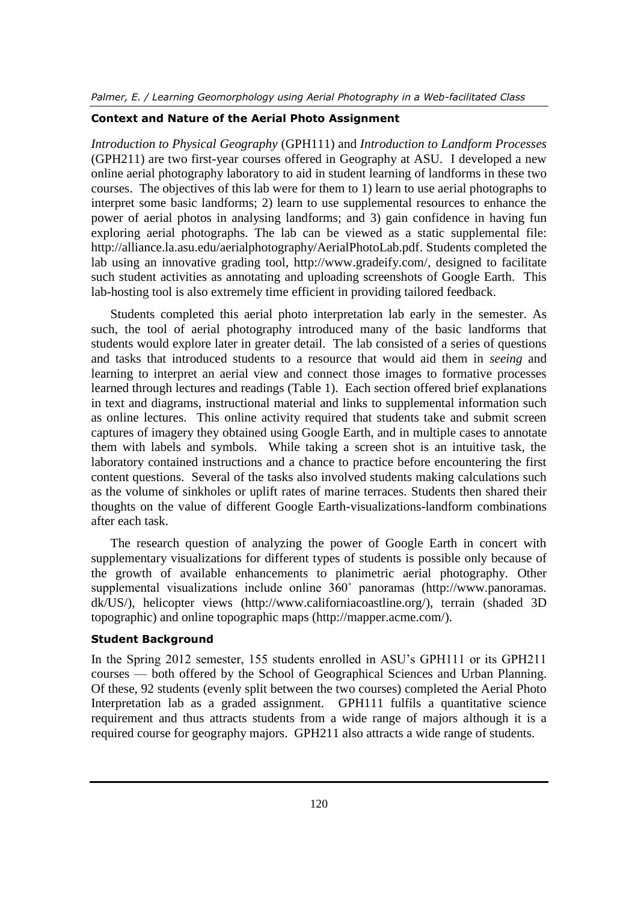#### **Context and Nature of the Aerial Photo Assignment**

*Introduction to Physical Geography* (GPH111) and *Introduction to Landform Processes* (GPH211) are two first-year courses offered in Geography at ASU. I developed a new online aerial photography laboratory to aid in student learning of landforms in these two courses. The objectives of this lab were for them to 1) learn to use aerial photographs to interpret some basic landforms; 2) learn to use supplemental resources to enhance the power of aerial photos in analysing landforms; and 3) gain confidence in having fun exploring aerial photographs. The lab can be viewed as a static supplemental file: [http://alliance.la.asu.edu/aerialphotography/AerialPhotoLab.pdf.](http://alliance.la.asu.edu/aerialphotography/AerialPhotoLab.pdf) Students completed the lab using an innovative grading tool, [http://www.gradeify.com/,](http://www.gradeify.com/) designed to facilitate such student activities as annotating and uploading screenshots of Google Earth. This lab-hosting tool is also extremely time efficient in providing tailored feedback.

Students completed this aerial photo interpretation lab early in the semester. As such, the tool of aerial photography introduced many of the basic landforms that students would explore later in greater detail. The lab consisted of a series of questions and tasks that introduced students to a resource that would aid them in *seeing* and learning to interpret an aerial view and connect those images to formative processes learned through lectures and readings (Table 1). Each section offered brief explanations in text and diagrams, instructional material and links to supplemental information such as online lectures. This online activity required that students take and submit screen captures of imagery they obtained using Google Earth, and in multiple cases to annotate them with labels and symbols. While taking a screen shot is an intuitive task, the laboratory contained instructions and a chance to practice before encountering the first content questions. Several of the tasks also involved students making calculations such as the volume of sinkholes or uplift rates of marine terraces. Students then shared their thoughts on the value of different Google Earth-visualizations-landform combinations after each task.

The research question of analyzing the power of Google Earth in concert with supplementary visualizations for different types of students is possible only because of the growth of available enhancements to planimetric aerial photography. Other supplemental visualizations include online 360˚ panoramas (http://www.panoramas. dk/US/), helicopter views [\(http://www.californiacoastline.org/\)](http://www.californiacoastline.org/), terrain (shaded 3D topographic) and online topographic maps [\(http://mapper.acme.com/\)](http://mapper.acme.com/).

## **Student Background**

In the Spring 2012 semester, 155 students enrolled in ASU's GPH111 or its GPH211 courses — both offered by the School of Geographical Sciences and Urban Planning. Of these, 92 students (evenly split between the two courses) completed the Aerial Photo Interpretation lab as a graded assignment. GPH111 fulfils a quantitative science requirement and thus attracts students from a wide range of majors although it is a required course for geography majors. GPH211 also attracts a wide range of students.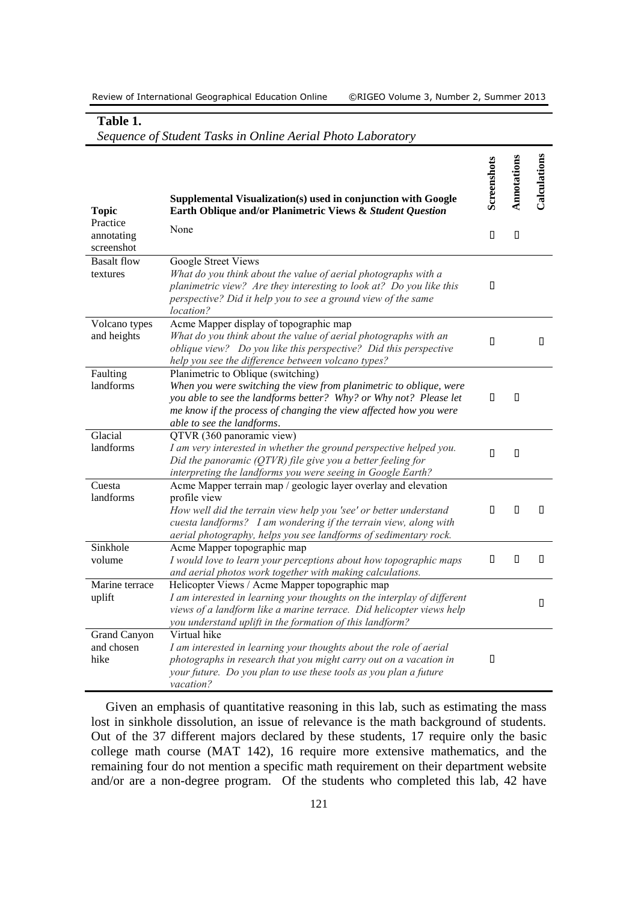| <b>Topic</b>                         | Supplemental Visualization(s) used in conjunction with Google<br>Earth Oblique and/or Planimetric Views & Student Question                                                                                                                                                                  | Screenshots | Annotations | Calculations |
|--------------------------------------|---------------------------------------------------------------------------------------------------------------------------------------------------------------------------------------------------------------------------------------------------------------------------------------------|-------------|-------------|--------------|
| Practice<br>annotating<br>screenshot | None                                                                                                                                                                                                                                                                                        | $\Box$      | П           |              |
| <b>Basalt</b> flow<br>textures       | <b>Google Street Views</b><br>What do you think about the value of aerial photographs with a<br>planimetric view? Are they interesting to look at? Do you like this<br>perspective? Did it help you to see a ground view of the same<br><i>location?</i>                                    | П           |             |              |
| Volcano types<br>and heights         | Acme Mapper display of topographic map<br>What do you think about the value of aerial photographs with an<br>oblique view? Do you like this perspective? Did this perspective<br>help you see the difference between volcano types?                                                         | $\Box$      |             | П            |
| Faulting<br>landforms                | Planimetric to Oblique (switching)<br>When you were switching the view from planimetric to oblique, were<br>you able to see the landforms better? Why? or Why not? Please let<br>me know if the process of changing the view affected how you were<br>able to see the landforms.            | 0           | П           |              |
| Glacial<br>landforms                 | QTVR (360 panoramic view)<br>I am very interested in whether the ground perspective helped you.<br>Did the panoramic ( $QTVR$ ) file give you a better feeling for<br>interpreting the landforms you were seeing in Google Earth?                                                           | $\Box$      | П           |              |
| Cuesta<br>landforms                  | Acme Mapper terrain map / geologic layer overlay and elevation<br>profile view<br>How well did the terrain view help you 'see' or better understand<br>cuesta landforms? I am wondering if the terrain view, along with<br>aerial photography, helps you see landforms of sedimentary rock. | П           | П           | П.           |
| Sinkhole<br>volume                   | Acme Mapper topographic map<br>I would love to learn your perceptions about how topographic maps<br>and aerial photos work together with making calculations.                                                                                                                               | П           | П           | $\Box$       |
| Marine terrace<br>uplift             | Helicopter Views / Acme Mapper topographic map<br>I am interested in learning your thoughts on the interplay of different<br>views of a landform like a marine terrace. Did helicopter views help<br>you understand uplift in the formation of this landform?                               |             |             | $\Box$       |
| Grand Canyon<br>and chosen<br>hike   | Virtual hike<br>I am interested in learning your thoughts about the role of aerial<br>photographs in research that you might carry out on a vacation in<br>your future. Do you plan to use these tools as you plan a future<br>vacation?                                                    | $\Box$      |             |              |

#### **Table 1.** *Sequence of Student Tasks in Online Aerial Photo Laboratory*

Given an emphasis of quantitative reasoning in this lab, such as estimating the mass lost in sinkhole dissolution, an issue of relevance is the math background of students. Out of the 37 different majors declared by these students, 17 require only the basic college math course (MAT 142), 16 require more extensive mathematics, and the remaining four do not mention a specific math requirement on their department website and/or are a non-degree program. Of the students who completed this lab, 42 have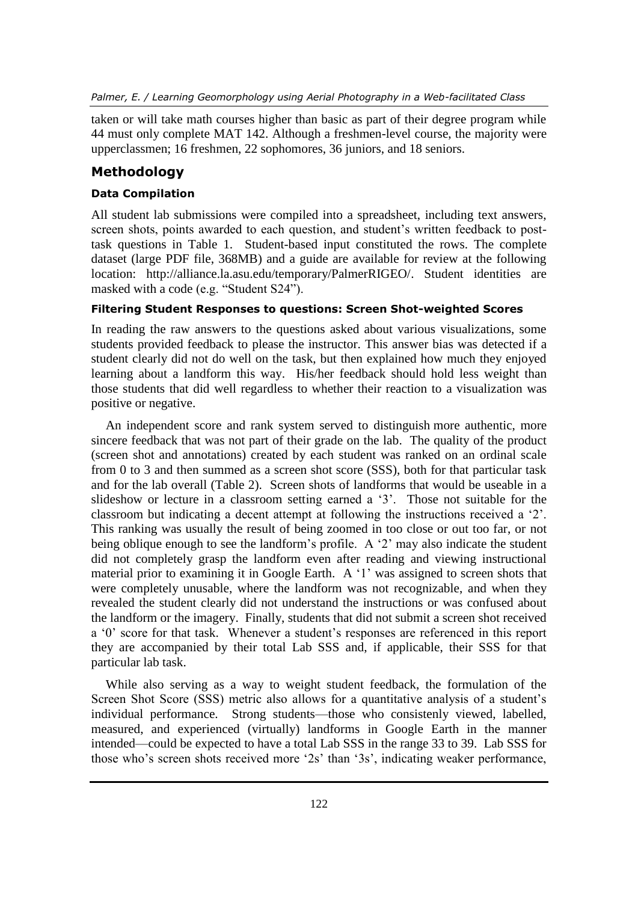*Palmer, E. / Learning Geomorphology using Aerial Photography in a Web-facilitated Class*

taken or will take math courses higher than basic as part of their degree program while 44 must only complete MAT 142. Although a freshmen-level course, the majority were upperclassmen; 16 freshmen, 22 sophomores, 36 juniors, and 18 seniors.

## **Methodology**

## **Data Compilation**

All student lab submissions were compiled into a spreadsheet, including text answers, screen shots, points awarded to each question, and student's written feedback to posttask questions in Table 1. Student-based input constituted the rows. The complete dataset (large PDF file, 368MB) and a guide are available for review at the following location: [http://alliance.la.asu.edu/temporary/PalmerRIGEO/.](http://alliance.la.asu.edu/temporary/PalmerRIGEO/) Student identities are masked with a code (e.g. "Student S24").

#### **Filtering Student Responses to questions: Screen Shot-weighted Scores**

In reading the raw answers to the questions asked about various visualizations, some students provided feedback to please the instructor. This answer bias was detected if a student clearly did not do well on the task, but then explained how much they enjoyed learning about a landform this way. His/her feedback should hold less weight than those students that did well regardless to whether their reaction to a visualization was positive or negative.

An independent score and rank system served to distinguish more authentic, more sincere feedback that was not part of their grade on the lab. The quality of the product (screen shot and annotations) created by each student was ranked on an ordinal scale from 0 to 3 and then summed as a screen shot score (SSS), both for that particular task and for the lab overall (Table 2). Screen shots of landforms that would be useable in a slideshow or lecture in a classroom setting earned a '3'. Those not suitable for the classroom but indicating a decent attempt at following the instructions received a '2'. This ranking was usually the result of being zoomed in too close or out too far, or not being oblique enough to see the landform's profile. A '2' may also indicate the student did not completely grasp the landform even after reading and viewing instructional material prior to examining it in Google Earth. A '1' was assigned to screen shots that were completely unusable, where the landform was not recognizable, and when they revealed the student clearly did not understand the instructions or was confused about the landform or the imagery. Finally, students that did not submit a screen shot received a '0' score for that task. Whenever a student's responses are referenced in this report they are accompanied by their total Lab SSS and, if applicable, their SSS for that particular lab task.

While also serving as a way to weight student feedback, the formulation of the Screen Shot Score (SSS) metric also allows for a quantitative analysis of a student's individual performance. Strong students—those who consistenly viewed, labelled, measured, and experienced (virtually) landforms in Google Earth in the manner intended—could be expected to have a total Lab SSS in the range 33 to 39. Lab SSS for those who's screen shots received more '2s' than '3s', indicating weaker performance,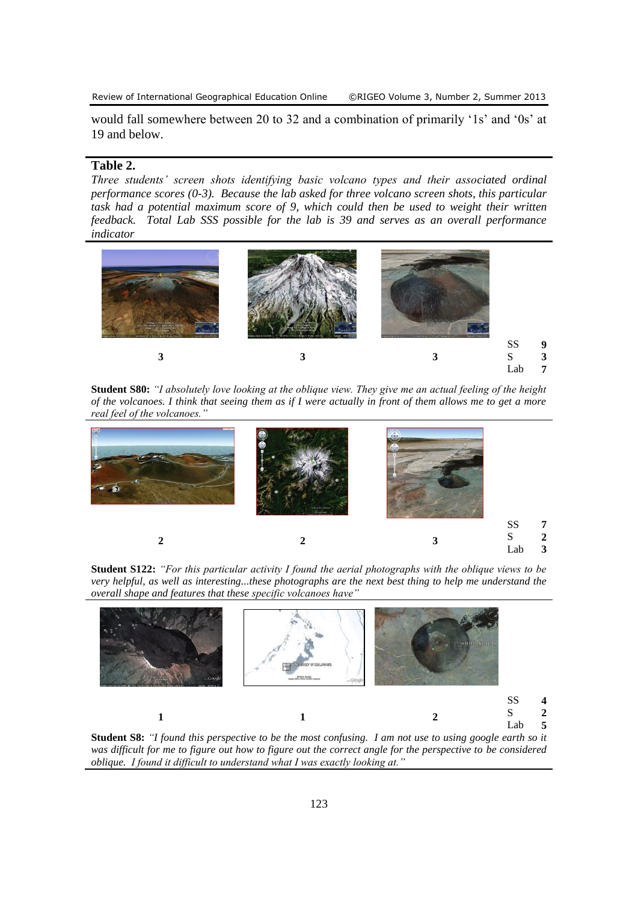would fall somewhere between 20 to 32 and a combination of primarily '1s' and '0s' at 19 and below.

#### **Table 2.**

*Three students' screen shots identifying basic volcano types and their associated ordinal performance scores (0-3). Because the lab asked for three volcano screen shots, this particular task had a potential maximum score of 9, which could then be used to weight their written feedback. Total Lab SSS possible for the lab is 39 and serves as an overall performance indicator*



**Student S80:** *"I absolutely love looking at the oblique view. They give me an actual feeling of the height of the volcanoes. I think that seeing them as if I were actually in front of them allows me to get a more real feel of the volcanoes."*



**Student S122:** *"For this particular activity I found the aerial photographs with the oblique views to be very helpful, as well as interesting...these photographs are the next best thing to help me understand the overall shape and features that these specific volcanoes have"*



**Student S8:** *"I found this perspective to be the most confusing. I am not use to using google earth so it was difficult for me to figure out how to figure out the correct angle for the perspective to be considered oblique. I found it difficult to understand what I was exactly looking at."*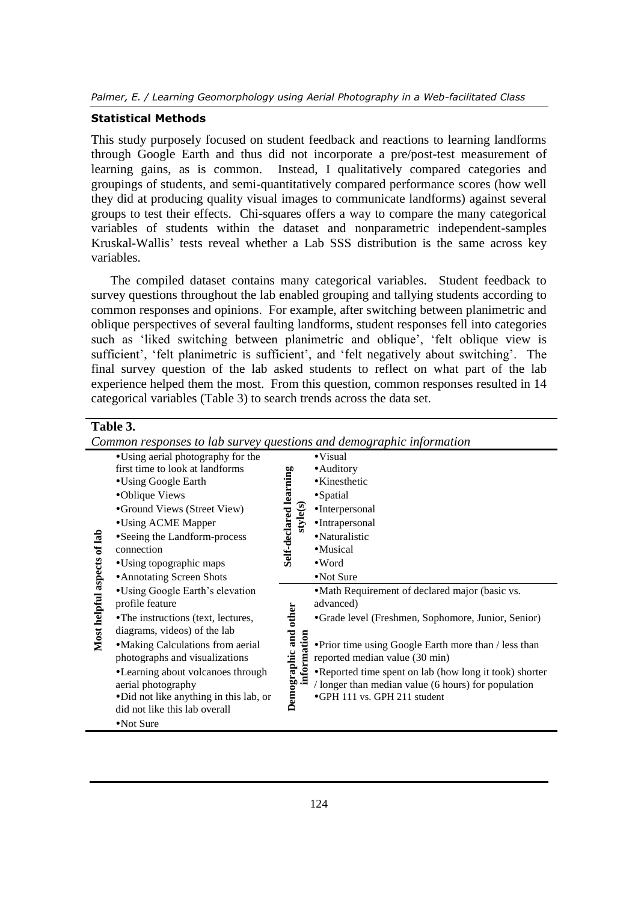#### **Statistical Methods**

This study purposely focused on student feedback and reactions to learning landforms through Google Earth and thus did not incorporate a pre/post-test measurement of learning gains, as is common. Instead, I qualitatively compared categories and groupings of students, and semi-quantitatively compared performance scores (how well they did at producing quality visual images to communicate landforms) against several groups to test their effects. Chi-squares offers a way to compare the many categorical variables of students within the dataset and nonparametric independent-samples Kruskal-Wallis' tests reveal whether a Lab SSS distribution is the same across key variables.

The compiled dataset contains many categorical variables. Student feedback to survey questions throughout the lab enabled grouping and tallying students according to common responses and opinions. For example, after switching between planimetric and oblique perspectives of several faulting landforms, student responses fell into categories such as 'liked switching between planimetric and oblique', 'felt oblique view is sufficient', 'felt planimetric is sufficient', and 'felt negatively about switching'. The final survey question of the lab asked students to reflect on what part of the lab experience helped them the most. From this question, common responses resulted in 14 categorical variables (Table 3) to search trends across the data set.

#### **Table 3.**

*Common responses to lab survey questions and demographic information*

| Most helpful aspects of lab | • Using aerial photography for the                                                                  |                        | $\bullet$ Visual                                                                                                                              |
|-----------------------------|-----------------------------------------------------------------------------------------------------|------------------------|-----------------------------------------------------------------------------------------------------------------------------------------------|
|                             | first time to look at landforms                                                                     | Self-declared learning | • Auditory                                                                                                                                    |
|                             | •Using Google Earth                                                                                 |                        | • Kinesthetic                                                                                                                                 |
|                             | •Oblique Views                                                                                      |                        | •Spatial                                                                                                                                      |
|                             | •Ground Views (Street View)                                                                         | style(s)               | •Interpersonal                                                                                                                                |
|                             | •Using ACME Mapper                                                                                  |                        | •Intrapersonal                                                                                                                                |
|                             | • Seeing the Landform-process                                                                       |                        | ·Naturalistic                                                                                                                                 |
|                             | connection                                                                                          |                        | •Musical                                                                                                                                      |
|                             | • Using topographic maps                                                                            |                        | $\bullet$ Word                                                                                                                                |
|                             | • Annotating Screen Shots                                                                           |                        | •Not Sure                                                                                                                                     |
|                             | •Using Google Earth's elevation                                                                     |                        | • Math Requirement of declared major (basic vs.                                                                                               |
|                             | profile feature                                                                                     |                        | advanced)                                                                                                                                     |
|                             | •The instructions (text, lectures,                                                                  |                        | •Grade level (Freshmen, Sophomore, Junior, Senior)                                                                                            |
|                             | diagrams, videos) of the lab<br>• Making Calculations from aerial<br>photographs and visualizations | information            | • Prior time using Google Earth more than / less than<br>reported median value (30 min)                                                       |
|                             | •Learning about volcanoes through<br>aerial photography<br>•Did not like anything in this lab, or   | Demographic and other  | •Reported time spent on lab (how long it took) shorter<br>/ longer than median value (6 hours) for population<br>•GPH 111 vs. GPH 211 student |
|                             | did not like this lab overall                                                                       |                        |                                                                                                                                               |
|                             | •Not Sure                                                                                           |                        |                                                                                                                                               |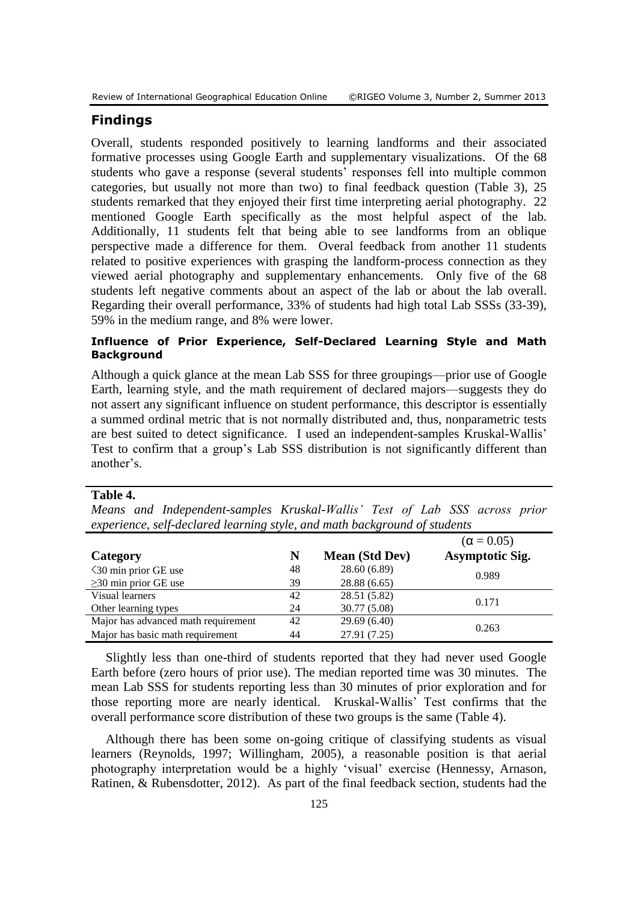#### **Findings**

Overall, students responded positively to learning landforms and their associated formative processes using Google Earth and supplementary visualizations. Of the 68 students who gave a response (several students' responses fell into multiple common categories, but usually not more than two) to final feedback question (Table 3), 25 students remarked that they enjoyed their first time interpreting aerial photography. 22 mentioned Google Earth specifically as the most helpful aspect of the lab. Additionally, 11 students felt that being able to see landforms from an oblique perspective made a difference for them. Overal feedback from another 11 students related to positive experiences with grasping the landform-process connection as they viewed aerial photography and supplementary enhancements. Only five of the 68 students left negative comments about an aspect of the lab or about the lab overall. Regarding their overall performance, 33% of students had high total Lab SSSs (33-39), 59% in the medium range, and 8% were lower.

## **Influence of Prior Experience, Self-Declared Learning Style and Math Background**

Although a quick glance at the mean Lab SSS for three groupings—prior use of Google Earth, learning style, and the math requirement of declared majors—suggests they do not assert any significant influence on student performance, this descriptor is essentially a summed ordinal metric that is not normally distributed and, thus, nonparametric tests are best suited to detect significance. I used an independent-samples Kruskal-Wallis' Test to confirm that a group's Lab SSS distribution is not significantly different than another's.

**Table 4.**

*Means and Independent-samples Kruskal-Wallis' Test of Lab SSS across prior experience, self-declared learning style, and math background of students*

|                                     |    |                       | $(\alpha = 0.05)$      |
|-------------------------------------|----|-----------------------|------------------------|
| Category                            | N  | <b>Mean (Std Dev)</b> | <b>Asymptotic Sig.</b> |
| $\leq$ 30 min prior GE use          | 48 | 28.60 (6.89)          | 0.989                  |
| $\geq$ 30 min prior GE use          | 39 | 28.88 (6.65)          |                        |
| Visual learners                     | 42 | 28.51 (5.82)          | 0.171                  |
| Other learning types                | 24 | 30.77 (5.08)          |                        |
| Major has advanced math requirement | 42 | 29.69(6.40)           | 0.263                  |
| Major has basic math requirement    | 44 | 27.91 (7.25)          |                        |

Slightly less than one-third of students reported that they had never used Google Earth before (zero hours of prior use). The median reported time was 30 minutes. The mean Lab SSS for students reporting less than 30 minutes of prior exploration and for those reporting more are nearly identical. Kruskal-Wallis' Test confirms that the overall performance score distribution of these two groups is the same (Table 4).

Although there has been some on-going critique of classifying students as visual learners [\(Reynolds, 1997;](#page-18-9) [Willingham, 2005\)](#page-19-2), a reasonable position is that aerial photography interpretation would be a highly 'visual' exercise [\(Hennessy, Arnason,](#page-16-9)  [Ratinen, & Rubensdotter, 2012\)](#page-16-9). As part of the final feedback section, students had the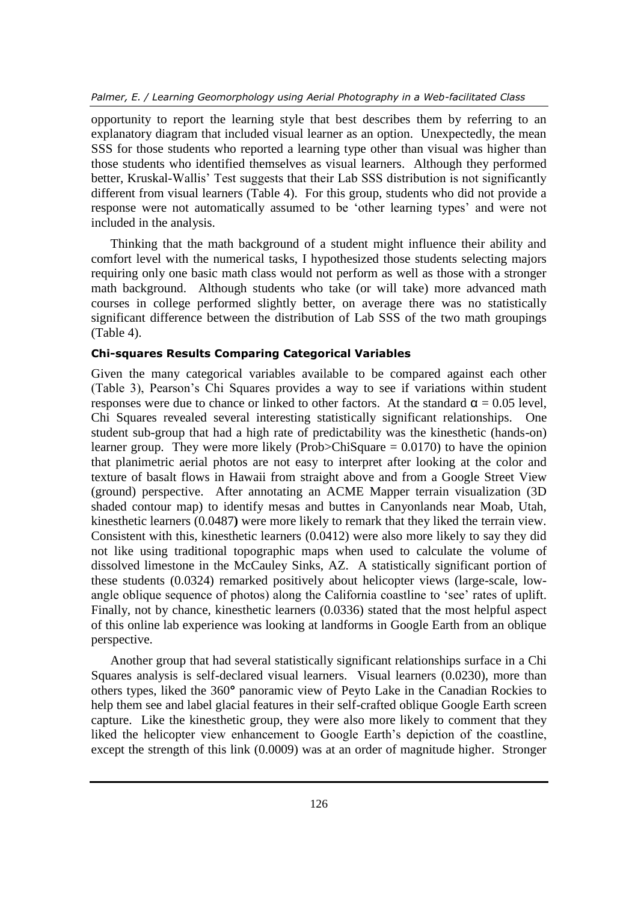opportunity to report the learning style that best describes them by referring to an explanatory diagram that included visual learner as an option. Unexpectedly, the mean SSS for those students who reported a learning type other than visual was higher than those students who identified themselves as visual learners. Although they performed better, Kruskal-Wallis' Test suggests that their Lab SSS distribution is not significantly different from visual learners (Table 4). For this group, students who did not provide a response were not automatically assumed to be 'other learning types' and were not included in the analysis.

Thinking that the math background of a student might influence their ability and comfort level with the numerical tasks, I hypothesized those students selecting majors requiring only one basic math class would not perform as well as those with a stronger math background. Although students who take (or will take) more advanced math courses in college performed slightly better, on average there was no statistically significant difference between the distribution of Lab SSS of the two math groupings (Table 4).

#### **Chi-squares Results Comparing Categorical Variables**

Given the many categorical variables available to be compared against each other (Table 3), Pearson's Chi Squares provides a way to see if variations within student responses were due to chance or linked to other factors. At the standard  $\alpha = 0.05$  level, Chi Squares revealed several interesting statistically significant relationships. One student sub-group that had a high rate of predictability was the kinesthetic (hands-on) learner group. They were more likely (Prob>ChiSquare  $= 0.0170$ ) to have the opinion that planimetric aerial photos are not easy to interpret after looking at the color and texture of basalt flows in Hawaii from straight above and from a Google Street View (ground) perspective. After annotating an ACME Mapper terrain visualization (3D shaded contour map) to identify mesas and buttes in Canyonlands near Moab, Utah, kinesthetic learners (0.0487**)** were more likely to remark that they liked the terrain view. Consistent with this, kinesthetic learners (0.0412) were also more likely to say they did not like using traditional topographic maps when used to calculate the volume of dissolved limestone in the McCauley Sinks, AZ. A statistically significant portion of these students (0.0324) remarked positively about helicopter views (large-scale, lowangle oblique sequence of photos) along the California coastline to 'see' rates of uplift. Finally, not by chance, kinesthetic learners (0.0336) stated that the most helpful aspect of this online lab experience was looking at landforms in Google Earth from an oblique perspective.

Another group that had several statistically significant relationships surface in a Chi Squares analysis is self-declared visual learners. Visual learners (0.0230), more than others types, liked the 360**°** panoramic view of Peyto Lake in the Canadian Rockies to help them see and label glacial features in their self-crafted oblique Google Earth screen capture. Like the kinesthetic group, they were also more likely to comment that they liked the helicopter view enhancement to Google Earth's depiction of the coastline, except the strength of this link (0.0009) was at an order of magnitude higher. Stronger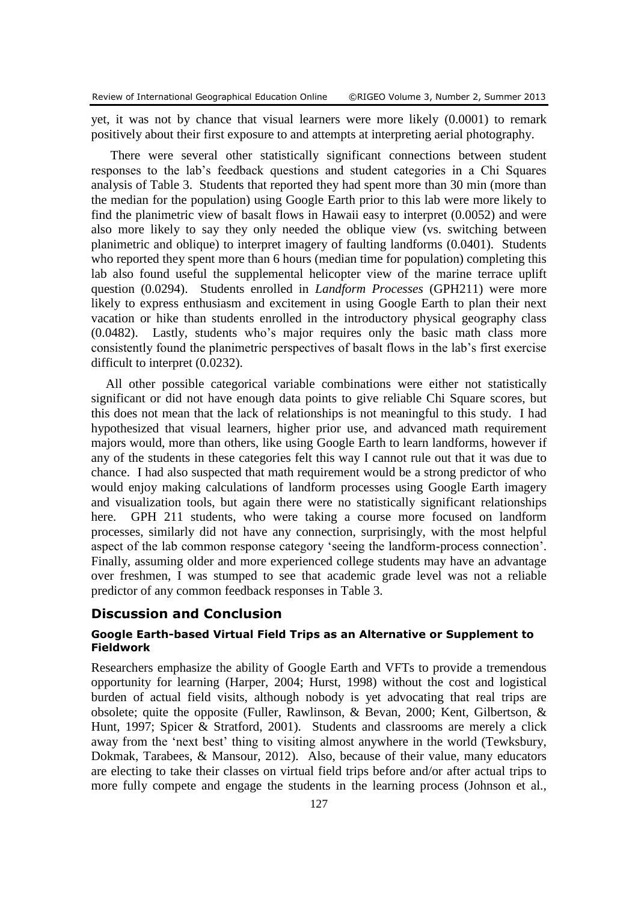yet, it was not by chance that visual learners were more likely (0.0001) to remark positively about their first exposure to and attempts at interpreting aerial photography.

There were several other statistically significant connections between student responses to the lab's feedback questions and student categories in a Chi Squares analysis of Table 3. Students that reported they had spent more than 30 min (more than the median for the population) using Google Earth prior to this lab were more likely to find the planimetric view of basalt flows in Hawaii easy to interpret (0.0052) and were also more likely to say they only needed the oblique view (vs. switching between planimetric and oblique) to interpret imagery of faulting landforms (0.0401). Students who reported they spent more than 6 hours (median time for population) completing this lab also found useful the supplemental helicopter view of the marine terrace uplift question (0.0294). Students enrolled in *Landform Processes* (GPH211) were more likely to express enthusiasm and excitement in using Google Earth to plan their next vacation or hike than students enrolled in the introductory physical geography class (0.0482). Lastly, students who's major requires only the basic math class more consistently found the planimetric perspectives of basalt flows in the lab's first exercise difficult to interpret (0.0232).

All other possible categorical variable combinations were either not statistically significant or did not have enough data points to give reliable Chi Square scores, but this does not mean that the lack of relationships is not meaningful to this study. I had hypothesized that visual learners, higher prior use, and advanced math requirement majors would, more than others, like using Google Earth to learn landforms, however if any of the students in these categories felt this way I cannot rule out that it was due to chance. I had also suspected that math requirement would be a strong predictor of who would enjoy making calculations of landform processes using Google Earth imagery and visualization tools, but again there were no statistically significant relationships here. GPH 211 students, who were taking a course more focused on landform processes, similarly did not have any connection, surprisingly, with the most helpful aspect of the lab common response category 'seeing the landform-process connection'. Finally, assuming older and more experienced college students may have an advantage over freshmen, I was stumped to see that academic grade level was not a reliable predictor of any common feedback responses in Table 3.

#### **Discussion and Conclusion**

#### **Google Earth-based Virtual Field Trips as an Alternative or Supplement to Fieldwork**

Researchers emphasize the ability of Google Earth and VFTs to provide a tremendous opportunity for learning [\(Harper, 2004;](#page-16-10) [Hurst, 1998\)](#page-17-7) without the cost and logistical burden of actual field visits, although nobody is yet advocating that real trips are obsolete; quite the opposite [\(Fuller, Rawlinson, & Bevan, 2000;](#page-16-11) [Kent, Gilbertson, &](#page-17-8)  [Hunt, 1997;](#page-17-8) [Spicer & Stratford, 2001\)](#page-18-10). Students and classrooms are merely a click away from the 'next best' thing to visiting almost anywhere in the world [\(Tewksbury,](#page-18-11)  [Dokmak, Tarabees, & Mansour, 2012\)](#page-18-11). Also, because of their value, many educators are electing to take their classes on virtual field trips before and/or after actual trips to more fully compete and engage the students in the learning process [\(Johnson et al.,](#page-17-9)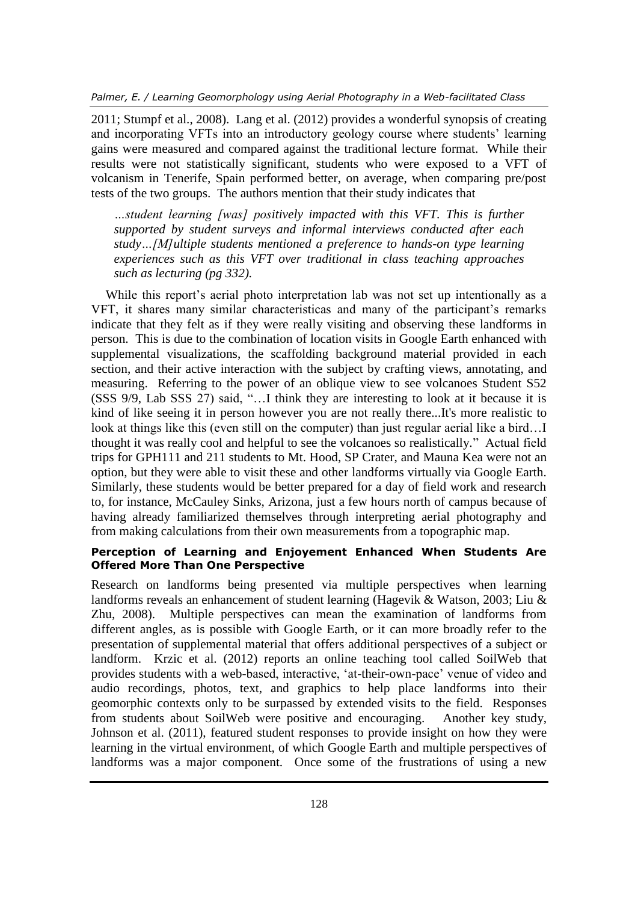[2011;](#page-17-9) [Stumpf et al., 2008\)](#page-18-4). [Lang et al. \(2012\)](#page-17-2) provides a wonderful synopsis of creating and incorporating VFTs into an introductory geology course where students' learning gains were measured and compared against the traditional lecture format. While their results were not statistically significant, students who were exposed to a VFT of volcanism in Tenerife, Spain performed better, on average, when comparing pre/post tests of the two groups. The authors mention that their study indicates that

*…student learning [was] positively impacted with this VFT. This is further supported by student surveys and informal interviews conducted after each study…[M]ultiple students mentioned a preference to hands-on type learning experiences such as this VFT over traditional in class teaching approaches such as lecturing (pg 332).*

While this report's aerial photo interpretation lab was not set up intentionally as a VFT, it shares many similar characteristicas and many of the participant's remarks indicate that they felt as if they were really visiting and observing these landforms in person. This is due to the combination of location visits in Google Earth enhanced with supplemental visualizations, the scaffolding background material provided in each section, and their active interaction with the subject by crafting views, annotating, and measuring. Referring to the power of an oblique view to see volcanoes Student S52 (SSS 9/9, Lab SSS 27) said, "…I think they are interesting to look at it because it is kind of like seeing it in person however you are not really there...It's more realistic to look at things like this (even still on the computer) than just regular aerial like a bird…I thought it was really cool and helpful to see the volcanoes so realistically." Actual field trips for GPH111 and 211 students to Mt. Hood, SP Crater, and Mauna Kea were not an option, but they were able to visit these and other landforms virtually via Google Earth. Similarly, these students would be better prepared for a day of field work and research to, for instance, McCauley Sinks, Arizona, just a few hours north of campus because of having already familiarized themselves through interpreting aerial photography and from making calculations from their own measurements from a topographic map.

#### **Perception of Learning and Enjoyement Enhanced When Students Are Offered More Than One Perspective**

Research on landforms being presented via multiple perspectives when learning landforms reveals an enhancement of student learning [\(Hagevik & Watson, 2003;](#page-16-12) [Liu &](#page-18-12)  [Zhu, 2008\)](#page-18-12). Multiple perspectives can mean the examination of landforms from different angles, as is possible with Google Earth, or it can more broadly refer to the presentation of supplemental material that offers additional perspectives of a subject or landform. [Krzic et al. \(2012\)](#page-17-10) reports an online teaching tool called SoilWeb that provides students with a web-based, interactive, 'at-their-own-pace' venue of video and audio recordings, photos, text, and graphics to help place landforms into their geomorphic contexts only to be surpassed by extended visits to the field. Responses from students about SoilWeb were positive and encouraging. Another key study, [Johnson et al. \(2011\)](#page-17-9), featured student responses to provide insight on how they were learning in the virtual environment, of which Google Earth and multiple perspectives of landforms was a major component. Once some of the frustrations of using a new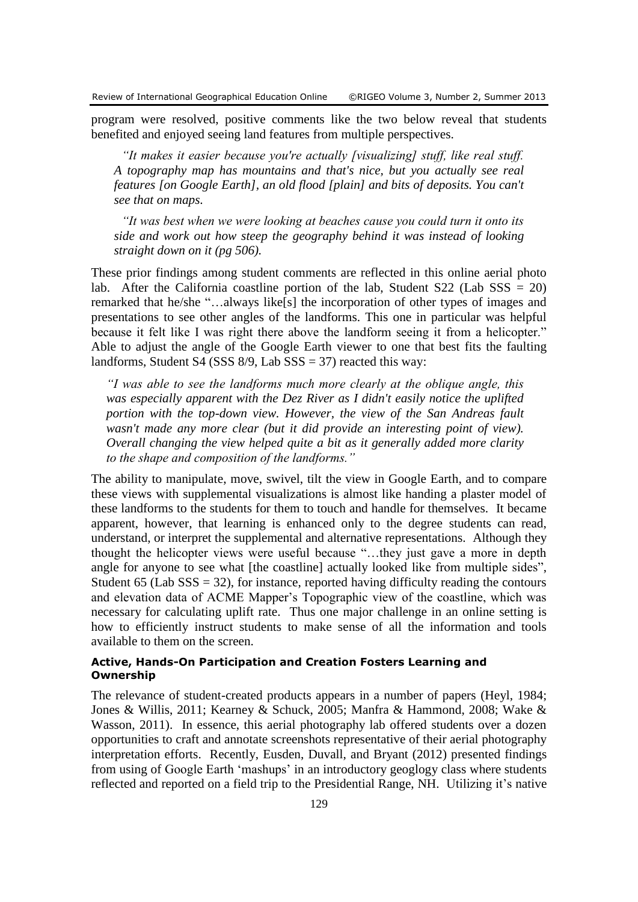program were resolved, positive comments like the two below reveal that students benefited and enjoyed seeing land features from multiple perspectives.

*"It makes it easier because you're actually [visualizing] stuff, like real stuff. A topography map has mountains and that's nice, but you actually see real features [on Google Earth], an old flood [plain] and bits of deposits. You can't see that on maps.*

*"It was best when we were looking at beaches cause you could turn it onto its side and work out how steep the geography behind it was instead of looking straight down on it (pg 506).*

These prior findings among student comments are reflected in this online aerial photo lab. After the California coastline portion of the lab. Student  $S22$  (Lab  $SSS = 20$ ) remarked that he/she "…always like[s] the incorporation of other types of images and presentations to see other angles of the landforms. This one in particular was helpful because it felt like I was right there above the landform seeing it from a helicopter." Able to adjust the angle of the Google Earth viewer to one that best fits the faulting landforms, Student S4 (SSS  $8/9$ , Lab SSS = 37) reacted this way:

*"I was able to see the landforms much more clearly at the oblique angle, this was especially apparent with the Dez River as I didn't easily notice the uplifted portion with the top-down view. However, the view of the San Andreas fault wasn't made any more clear (but it did provide an interesting point of view). Overall changing the view helped quite a bit as it generally added more clarity to the shape and composition of the landforms."*

The ability to manipulate, move, swivel, tilt the view in Google Earth, and to compare these views with supplemental visualizations is almost like handing a plaster model of these landforms to the students for them to touch and handle for themselves. It became apparent, however, that learning is enhanced only to the degree students can read, understand, or interpret the supplemental and alternative representations. Although they thought the helicopter views were useful because "…they just gave a more in depth angle for anyone to see what [the coastline] actually looked like from multiple sides", Student 65 (Lab  $SSS = 32$ ), for instance, reported having difficulty reading the contours and elevation data of ACME Mapper's Topographic view of the coastline, which was necessary for calculating uplift rate. Thus one major challenge in an online setting is how to efficiently instruct students to make sense of all the information and tools available to them on the screen.

#### **Active, Hands-On Participation and Creation Fosters Learning and Ownership**

The relevance of student-created products appears in a number of papers [\(Heyl, 1984;](#page-17-11) [Jones & Willis, 2011;](#page-17-12) [Kearney & Schuck, 2005;](#page-17-13) [Manfra & Hammond, 2008;](#page-18-13) [Wake &](#page-19-3)  [Wasson, 2011\)](#page-19-3). In essence, this aerial photography lab offered students over a dozen opportunities to craft and annotate screenshots representative of their aerial photography interpretation efforts. Recently, [Eusden, Duvall, and Bryant \(2012\)](#page-16-13) presented findings from using of Google Earth 'mashups' in an introductory geoglogy class where students reflected and reported on a field trip to the Presidential Range, NH. Utilizing it's native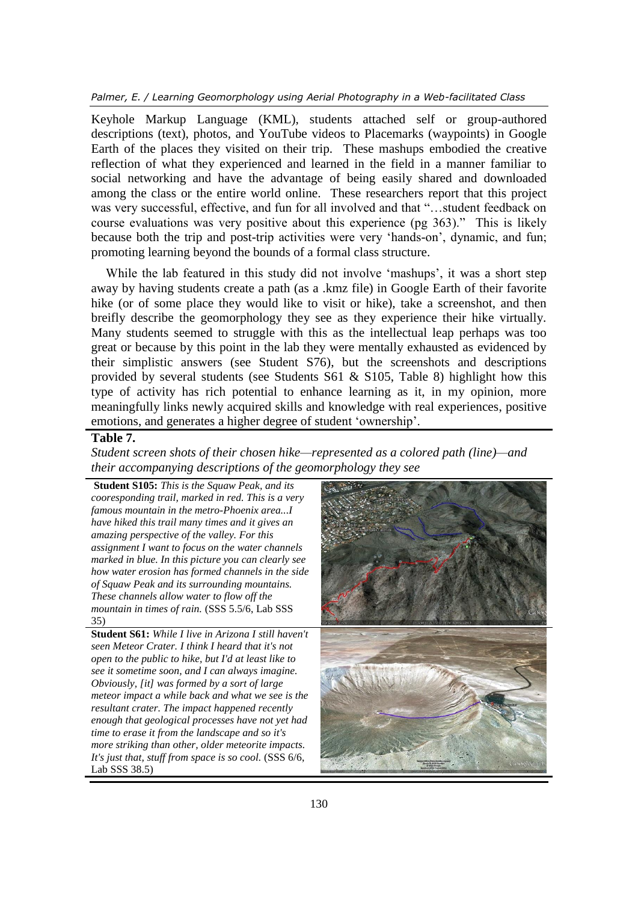*Palmer, E. / Learning Geomorphology using Aerial Photography in a Web-facilitated Class*

Keyhole Markup Language (KML), students attached self or group-authored descriptions (text), photos, and YouTube videos to Placemarks (waypoints) in Google Earth of the places they visited on their trip. These mashups embodied the creative reflection of what they experienced and learned in the field in a manner familiar to social networking and have the advantage of being easily shared and downloaded among the class or the entire world online. These researchers report that this project was very successful, effective, and fun for all involved and that "…student feedback on course evaluations was very positive about this experience (pg 363)." This is likely because both the trip and post-trip activities were very 'hands-on', dynamic, and fun; promoting learning beyond the bounds of a formal class structure.

While the lab featured in this study did not involve 'mashups', it was a short step away by having students create a path (as a .kmz file) in Google Earth of their favorite hike (or of some place they would like to visit or hike), take a screenshot, and then breifly describe the geomorphology they see as they experience their hike virtually. Many students seemed to struggle with this as the intellectual leap perhaps was too great or because by this point in the lab they were mentally exhausted as evidenced by their simplistic answers (see Student S76), but the screenshots and descriptions provided by several students (see Students S61 & S105, Table 8) highlight how this type of activity has rich potential to enhance learning as it, in my opinion, more meaningfully links newly acquired skills and knowledge with real experiences, positive emotions, and generates a higher degree of student 'ownership'.

#### **Table 7.**

*Student screen shots of their chosen hike—represented as a colored path (line)—and their accompanying descriptions of the geomorphology they see*

**Student S105:** *This is the Squaw Peak, and its cooresponding trail, marked in red. This is a very famous mountain in the metro-Phoenix area...I have hiked this trail many times and it gives an amazing perspective of the valley. For this assignment I want to focus on the water channels marked in blue. In this picture you can clearly see how water erosion has formed channels in the side of Squaw Peak and its surrounding mountains. These channels allow water to flow off the mountain in times of rain.* (SSS 5.5/6, Lab SSS 35) **Student S61:** *While I live in Arizona I still haven't seen Meteor Crater. I think I heard that it's not open to the public to hike, but I'd at least like to see it sometime soon, and I can always imagine. Obviously, [it] was formed by a sort of large meteor impact a while back and what we see is the resultant crater. The impact happened recently enough that geological processes have not yet had time to erase it from the landscape and so it's more striking than other, older meteorite impacts. It's just that, stuff from space is so cool.* (SSS 6/6, Lab SSS 38.5)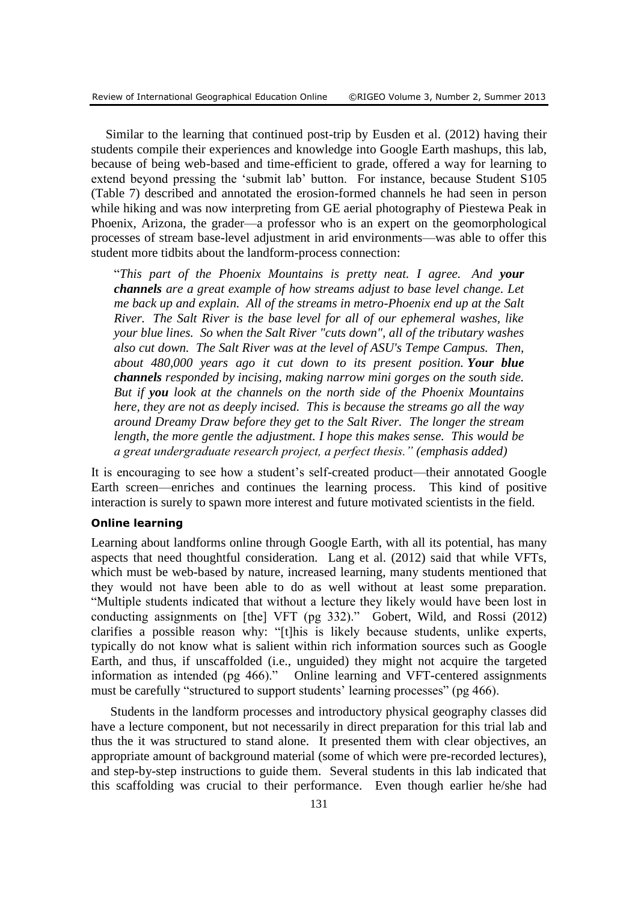Similar to the learning that continued post-trip by [Eusden et al. \(2012\)](#page-16-13) having their students compile their experiences and knowledge into Google Earth mashups, this lab, because of being web-based and time-efficient to grade, offered a way for learning to extend beyond pressing the 'submit lab' button. For instance, because Student S105 (Table 7) described and annotated the erosion-formed channels he had seen in person while hiking and was now interpreting from GE aerial photography of Piestewa Peak in Phoenix, Arizona, the grader—a professor who is an expert on the geomorphological processes of stream base-level adjustment in arid environments—was able to offer this student more tidbits about the landform-process connection:

"*This part of the Phoenix Mountains is pretty neat. I agree. And your channels are a great example of how streams adjust to base level change. Let me back up and explain. All of the streams in metro-Phoenix end up at the Salt River. The Salt River is the base level for all of our ephemeral washes, like your blue lines. So when the Salt River "cuts down", all of the tributary washes also cut down. The Salt River was at the level of ASU's Tempe Campus. Then, about 480,000 years ago it cut down to its present position. Your blue channels responded by incising, making narrow mini gorges on the south side. But if you look at the channels on the north side of the Phoenix Mountains here, they are not as deeply incised. This is because the streams go all the way around Dreamy Draw before they get to the Salt River. The longer the stream length, the more gentle the adjustment. I hope this makes sense. This would be a great undergraduate research project, a perfect thesis." (emphasis added)*

It is encouraging to see how a student's self-created product—their annotated Google Earth screen—enriches and continues the learning process. This kind of positive interaction is surely to spawn more interest and future motivated scientists in the field.

#### **Online learning**

Learning about landforms online through Google Earth, with all its potential, has many aspects that need thoughtful consideration. [Lang et al. \(2012\)](#page-17-2) said that while VFTs, which must be web-based by nature, increased learning, many students mentioned that they would not have been able to do as well without at least some preparation. "Multiple students indicated that without a lecture they likely would have been lost in conducting assignments on [the] VFT (pg 332)." [Gobert, Wild, and Rossi](#page-16-14) (2012) clarifies a possible reason why: "[t]his is likely because students, unlike experts, typically do not know what is salient within rich information sources such as Google Earth, and thus, if unscaffolded (i.e., unguided) they might not acquire the targeted information as intended (pg 466)." Online learning and VFT-centered assignments must be carefully "structured to support students' learning processes" (pg 466).

Students in the landform processes and introductory physical geography classes did have a lecture component, but not necessarily in direct preparation for this trial lab and thus the it was structured to stand alone. It presented them with clear objectives, an appropriate amount of background material (some of which were pre-recorded lectures), and step-by-step instructions to guide them. Several students in this lab indicated that this scaffolding was crucial to their performance. Even though earlier he/she had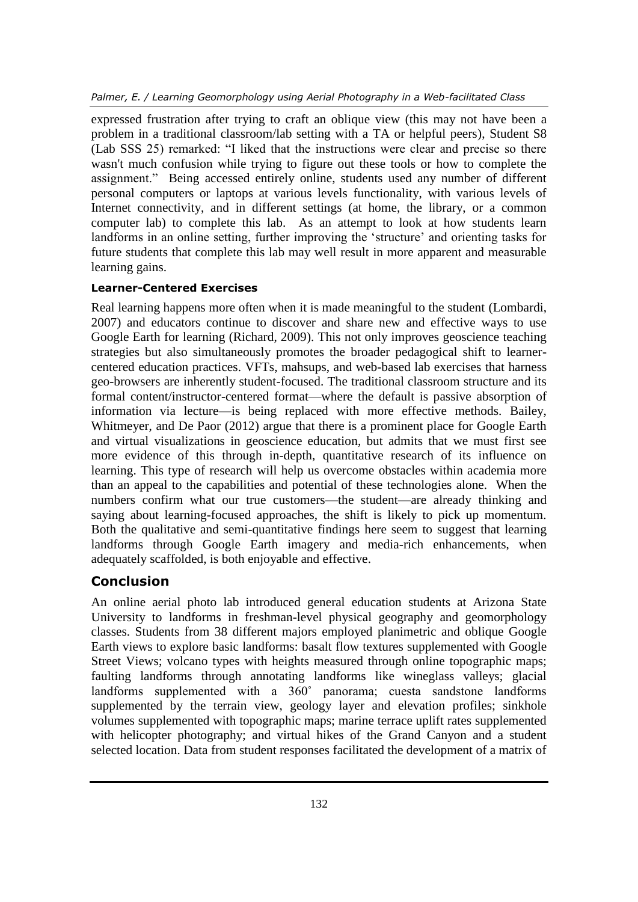*Palmer, E. / Learning Geomorphology using Aerial Photography in a Web-facilitated Class*

expressed frustration after trying to craft an oblique view (this may not have been a problem in a traditional classroom/lab setting with a TA or helpful peers), Student S8 (Lab SSS 25) remarked: "I liked that the instructions were clear and precise so there wasn't much confusion while trying to figure out these tools or how to complete the assignment." Being accessed entirely online, students used any number of different personal computers or laptops at various levels functionality, with various levels of Internet connectivity, and in different settings (at home, the library, or a common computer lab) to complete this lab. As an attempt to look at how students learn landforms in an online setting, further improving the 'structure' and orienting tasks for future students that complete this lab may well result in more apparent and measurable learning gains.

## **Learner-Centered Exercises**

Real learning happens more often when it is made meaningful to the student [\(Lombardi,](#page-18-14)  [2007\)](#page-18-14) and educators continue to discover and share new and effective ways to use Google Earth for learning [\(Richard, 2009\)](#page-18-15). This not only improves geoscience teaching strategies but also simultaneously promotes the broader pedagogical shift to learnercentered education practices. VFTs, mahsups, and web-based lab exercises that harness geo-browsers are inherently student-focused. The traditional classroom structure and its formal content/instructor-centered format—where the default is passive absorption of information via lecture—is being replaced with more effective methods. [Bailey,](#page-15-6)  [Whitmeyer, and De Paor \(2012\)](#page-15-6) argue that there is a prominent place for Google Earth and virtual visualizations in geoscience education, but admits that we must first see more evidence of this through in-depth, quantitative research of its influence on learning. This type of research will help us overcome obstacles within academia more than an appeal to the capabilities and potential of these technologies alone. When the numbers confirm what our true customers—the student—are already thinking and saying about learning-focused approaches, the shift is likely to pick up momentum. Both the qualitative and semi-quantitative findings here seem to suggest that learning landforms through Google Earth imagery and media-rich enhancements, when adequately scaffolded, is both enjoyable and effective.

# **Conclusion**

An online aerial photo lab introduced general education students at Arizona State University to landforms in freshman-level physical geography and geomorphology classes. Students from 38 different majors employed planimetric and oblique Google Earth views to explore basic landforms: basalt flow textures supplemented with Google Street Views; volcano types with heights measured through online topographic maps; faulting landforms through annotating landforms like wineglass valleys; glacial landforms supplemented with a 360˚ panorama; cuesta sandstone landforms supplemented by the terrain view, geology layer and elevation profiles; sinkhole volumes supplemented with topographic maps; marine terrace uplift rates supplemented with helicopter photography; and virtual hikes of the Grand Canyon and a student selected location. Data from student responses facilitated the development of a matrix of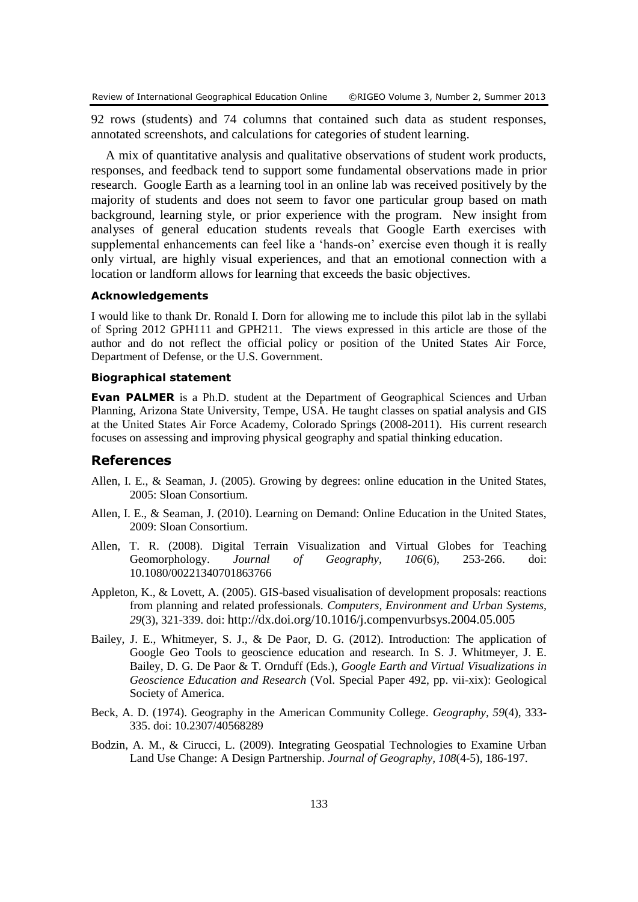92 rows (students) and 74 columns that contained such data as student responses, annotated screenshots, and calculations for categories of student learning.

A mix of quantitative analysis and qualitative observations of student work products, responses, and feedback tend to support some fundamental observations made in prior research. Google Earth as a learning tool in an online lab was received positively by the majority of students and does not seem to favor one particular group based on math background, learning style, or prior experience with the program. New insight from analyses of general education students reveals that Google Earth exercises with supplemental enhancements can feel like a 'hands-on' exercise even though it is really only virtual, are highly visual experiences, and that an emotional connection with a location or landform allows for learning that exceeds the basic objectives.

#### **Acknowledgements**

I would like to thank Dr. Ronald I. Dorn for allowing me to include this pilot lab in the syllabi of Spring 2012 GPH111 and GPH211. The views expressed in this article are those of the author and do not reflect the official policy or position of the United States Air Force, Department of Defense, or the U.S. Government.

#### **Biographical statement**

**Evan PALMER** is a Ph.D. student at the Department of Geographical Sciences and Urban Planning, Arizona State University, Tempe, USA. He taught classes on spatial analysis and GIS at the United States Air Force Academy, Colorado Springs (2008-2011). His current research focuses on assessing and improving physical geography and spatial thinking education.

#### **References**

- <span id="page-15-4"></span>Allen, I. E., & Seaman, J. (2005). Growing by degrees: online education in the United States, 2005: Sloan Consortium.
- <span id="page-15-5"></span>Allen, I. E., & Seaman, J. (2010). Learning on Demand: Online Education in the United States, 2009: Sloan Consortium.
- <span id="page-15-0"></span>Allen, T. R. (2008). Digital Terrain Visualization and Virtual Globes for Teaching Geomorphology. *Journal of Geography, 106*(6), 253-266. doi: 10.1080/00221340701863766
- <span id="page-15-2"></span>Appleton, K., & Lovett, A. (2005). GIS-based visualisation of development proposals: reactions from planning and related professionals. *Computers, Environment and Urban Systems, 29*(3), 321-339. doi: <http://dx.doi.org/10.1016/j.compenvurbsys.2004.05.005>
- <span id="page-15-6"></span>Bailey, J. E., Whitmeyer, S. J., & De Paor, D. G. (2012). Introduction: The application of Google Geo Tools to geoscience education and research. In S. J. Whitmeyer, J. E. Bailey, D. G. De Paor & T. Ornduff (Eds.), *Google Earth and Virtual Visualizations in Geoscience Education and Research* (Vol. Special Paper 492, pp. vii-xix): Geological Society of America.
- <span id="page-15-3"></span>Beck, A. D. (1974). Geography in the American Community College. *Geography, 59*(4), 333- 335. doi: 10.2307/40568289
- <span id="page-15-1"></span>Bodzin, A. M., & Cirucci, L. (2009). Integrating Geospatial Technologies to Examine Urban Land Use Change: A Design Partnership. *Journal of Geography, 108*(4-5), 186-197.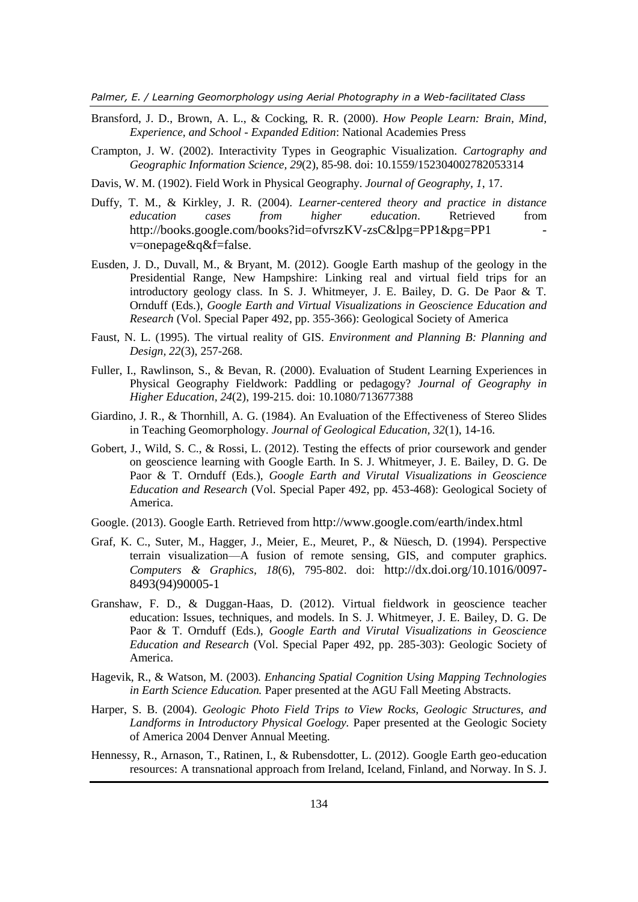*Palmer, E. / Learning Geomorphology using Aerial Photography in a Web-facilitated Class*

- <span id="page-16-7"></span>Bransford, J. D., Brown, A. L., & Cocking, R. R. (2000). *How People Learn: Brain, Mind, Experience, and School - Expanded Edition*: National Academies Press
- <span id="page-16-3"></span>Crampton, J. W. (2002). Interactivity Types in Geographic Visualization. *Cartography and Geographic Information Science, 29*(2), 85-98. doi: 10.1559/152304002782053314
- <span id="page-16-0"></span>Davis, W. M. (1902). Field Work in Physical Geography. *Journal of Geography, 1*, 17.
- <span id="page-16-8"></span>Duffy, T. M., & Kirkley, J. R. (2004). *Learner-centered theory and practice in distance education cases from higher education*. Retrieved from http://books.google.com/books?id=ofvrszKV-zsC&lpg=PP1&pg=PP1 [v=onepage&q&f=false](http://books.google.com/books?id=ofvrszKV-zsC&lpg=PP1&pg=PP1#v=onepage&q&f=false).
- <span id="page-16-13"></span>Eusden, J. D., Duvall, M., & Bryant, M. (2012). Google Earth mashup of the geology in the Presidential Range, New Hampshire: Linking real and virtual field trips for an introductory geology class. In S. J. Whitmeyer, J. E. Bailey, D. G. De Paor & T. Ornduff (Eds.), *Google Earth and Virtual Visualizations in Geoscience Education and Research* (Vol. Special Paper 492, pp. 355-366): Geological Society of America
- <span id="page-16-5"></span>Faust, N. L. (1995). The virtual reality of GIS. *Environment and Planning B: Planning and Design, 22*(3), 257-268.
- <span id="page-16-11"></span>Fuller, I., Rawlinson, S., & Bevan, R. (2000). Evaluation of Student Learning Experiences in Physical Geography Fieldwork: Paddling or pedagogy? *Journal of Geography in Higher Education, 24*(2), 199-215. doi: 10.1080/713677388
- <span id="page-16-1"></span>Giardino, J. R., & Thornhill, A. G. (1984). An Evaluation of the Effectiveness of Stereo Slides in Teaching Geomorphology. *Journal of Geological Education, 32*(1), 14-16.
- <span id="page-16-14"></span>Gobert, J., Wild, S. C., & Rossi, L. (2012). Testing the effects of prior coursework and gender on geoscience learning with Google Earth. In S. J. Whitmeyer, J. E. Bailey, D. G. De Paor & T. Ornduff (Eds.), *Google Earth and Virutal Visualizations in Geoscience Education and Research* (Vol. Special Paper 492, pp. 453-468): Geological Society of America.
- <span id="page-16-2"></span>Google. (2013). Google Earth. Retrieved from <http://www.google.com/earth/index.html>
- <span id="page-16-6"></span>Graf, K. C., Suter, M., Hagger, J., Meier, E., Meuret, P., & Nüesch, D. (1994). Perspective terrain visualization—A fusion of remote sensing, GIS, and computer graphics. *Computers & Graphics, 18*(6), 795-802. doi: [http://dx.doi.org/10.1016/0097-](http://dx.doi.org/10.1016/0097-8493(94)90005-1) [8493\(94\)90005-1](http://dx.doi.org/10.1016/0097-8493(94)90005-1)
- <span id="page-16-4"></span>Granshaw, F. D., & Duggan-Haas, D. (2012). Virtual fieldwork in geoscience teacher education: Issues, techniques, and models. In S. J. Whitmeyer, J. E. Bailey, D. G. De Paor & T. Ornduff (Eds.), *Google Earth and Virutal Visualizations in Geoscience Education and Research* (Vol. Special Paper 492, pp. 285-303): Geologic Society of America.
- <span id="page-16-12"></span>Hagevik, R., & Watson, M. (2003). *Enhancing Spatial Cognition Using Mapping Technologies in Earth Science Education.* Paper presented at the AGU Fall Meeting Abstracts.
- <span id="page-16-10"></span>Harper, S. B. (2004). *Geologic Photo Field Trips to View Rocks, Geologic Structures, and Landforms in Introductory Physical Goelogy.* Paper presented at the Geologic Society of America 2004 Denver Annual Meeting.
- <span id="page-16-9"></span>Hennessy, R., Arnason, T., Ratinen, I., & Rubensdotter, L. (2012). Google Earth geo-education resources: A transnational approach from Ireland, Iceland, Finland, and Norway. In S. J.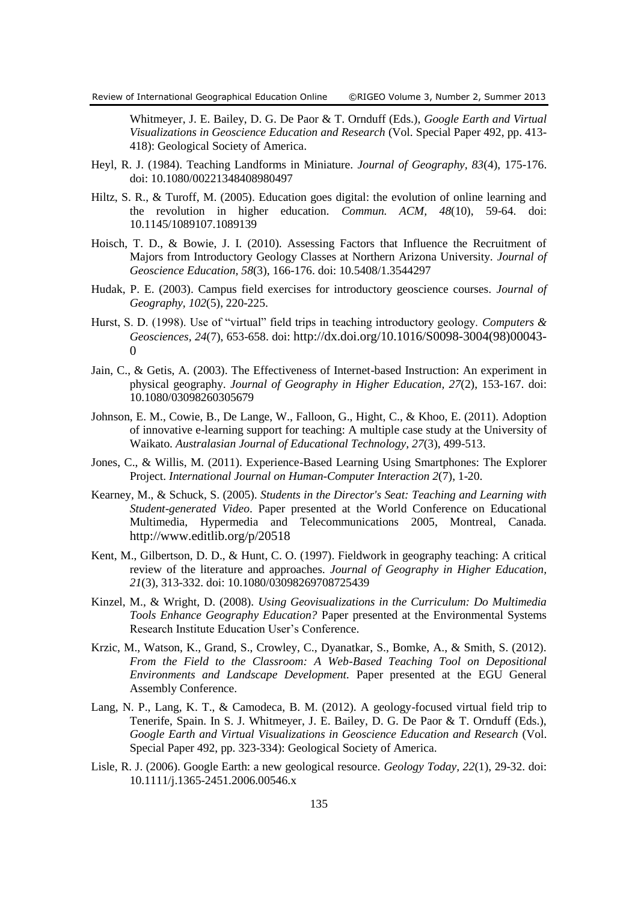Whitmeyer, J. E. Bailey, D. G. De Paor & T. Ornduff (Eds.), *Google Earth and Virtual Visualizations in Geoscience Education and Research* (Vol. Special Paper 492, pp. 413- 418): Geological Society of America.

- <span id="page-17-11"></span>Heyl, R. J. (1984). Teaching Landforms in Miniature. *Journal of Geography, 83*(4), 175-176. doi: 10.1080/00221348408980497
- <span id="page-17-5"></span>Hiltz, S. R., & Turoff, M. (2005). Education goes digital: the evolution of online learning and the revolution in higher education. *Commun. ACM, 48*(10), 59-64. doi: 10.1145/1089107.1089139
- <span id="page-17-3"></span>Hoisch, T. D., & Bowie, J. I. (2010). Assessing Factors that Influence the Recruitment of Majors from Introductory Geology Classes at Northern Arizona University. *Journal of Geoscience Education, 58*(3), 166-176. doi: 10.5408/1.3544297
- <span id="page-17-4"></span>Hudak, P. E. (2003). Campus field exercises for introductory geoscience courses. *Journal of Geography, 102*(5), 220-225.
- <span id="page-17-7"></span>Hurst, S. D. (1998). Use of "virtual" field trips in teaching introductory geology. *Computers & Geosciences, 24*(7), 653-658. doi: [http://dx.doi.org/10.1016/S0098-3004\(98\)00043-](http://dx.doi.org/10.1016/S0098-3004(98)00043-0)  $\Omega$
- <span id="page-17-6"></span>Jain, C., & Getis, A. (2003). The Effectiveness of Internet-based Instruction: An experiment in physical geography. *Journal of Geography in Higher Education, 27*(2), 153-167. doi: 10.1080/03098260305679
- <span id="page-17-9"></span>Johnson, E. M., Cowie, B., De Lange, W., Falloon, G., Hight, C., & Khoo, E. (2011). Adoption of innovative e-learning support for teaching: A multiple case study at the University of Waikato. *Australasian Journal of Educational Technology, 27*(3), 499-513.
- <span id="page-17-12"></span>Jones, C., & Willis, M. (2011). Experience-Based Learning Using Smartphones: The Explorer Project. *International Journal on Human-Computer Interaction 2*(7), 1-20.
- <span id="page-17-13"></span>Kearney, M., & Schuck, S. (2005). *Students in the Director's Seat: Teaching and Learning with Student-generated Video*. Paper presented at the World Conference on Educational Multimedia, Hypermedia and Telecommunications 2005, Montreal, Canada. <http://www.editlib.org/p/20518>
- <span id="page-17-8"></span>Kent, M., Gilbertson, D. D., & Hunt, C. O. (1997). Fieldwork in geography teaching: A critical review of the literature and approaches. *Journal of Geography in Higher Education, 21*(3), 313-332. doi: 10.1080/03098269708725439
- <span id="page-17-1"></span>Kinzel, M., & Wright, D. (2008). *Using Geovisualizations in the Curriculum: Do Multimedia Tools Enhance Geography Education?* Paper presented at the Environmental Systems Research Institute Education User's Conference.
- <span id="page-17-10"></span>Krzic, M., Watson, K., Grand, S., Crowley, C., Dyanatkar, S., Bomke, A., & Smith, S. (2012). *From the Field to the Classroom: A Web-Based Teaching Tool on Depositional Environments and Landscape Development.* Paper presented at the EGU General Assembly Conference.
- <span id="page-17-2"></span>Lang, N. P., Lang, K. T., & Camodeca, B. M. (2012). A geology-focused virtual field trip to Tenerife, Spain. In S. J. Whitmeyer, J. E. Bailey, D. G. De Paor & T. Ornduff (Eds.), *Google Earth and Virtual Visualizations in Geoscience Education and Research* (Vol. Special Paper 492, pp. 323-334): Geological Society of America.
- <span id="page-17-0"></span>Lisle, R. J. (2006). Google Earth: a new geological resource. *Geology Today, 22*(1), 29-32. doi: 10.1111/j.1365-2451.2006.00546.x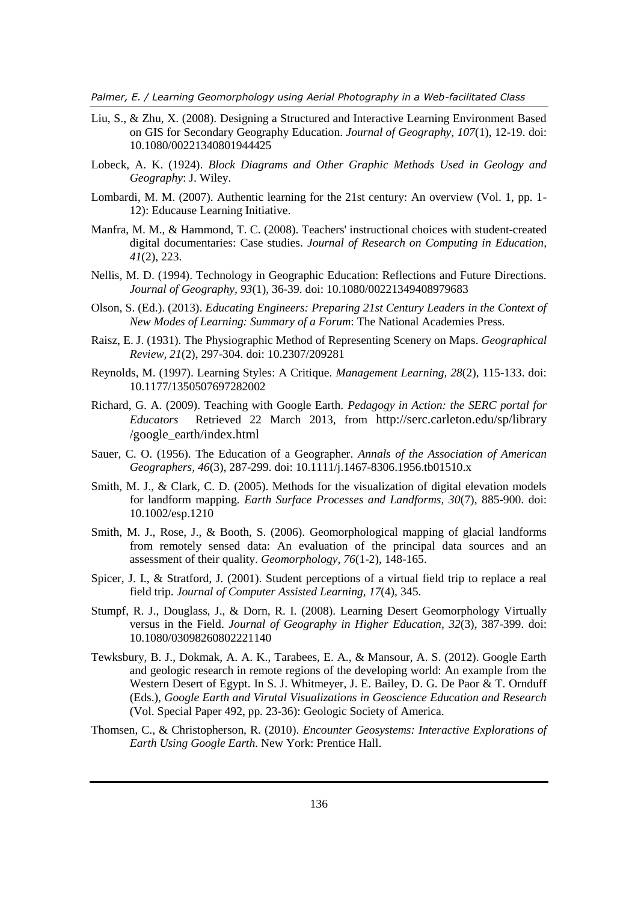*Palmer, E. / Learning Geomorphology using Aerial Photography in a Web-facilitated Class*

- <span id="page-18-12"></span>Liu, S., & Zhu, X. (2008). Designing a Structured and Interactive Learning Environment Based on GIS for Secondary Geography Education. *Journal of Geography, 107*(1), 12-19. doi: 10.1080/00221340801944425
- <span id="page-18-0"></span>Lobeck, A. K. (1924). *Block Diagrams and Other Graphic Methods Used in Geology and Geography*: J. Wiley.
- <span id="page-18-14"></span>Lombardi, M. M. (2007). Authentic learning for the 21st century: An overview (Vol. 1, pp. 1- 12): Educause Learning Initiative.
- <span id="page-18-13"></span>Manfra, M. M., & Hammond, T. C. (2008). Teachers' instructional choices with student-created digital documentaries: Case studies. *Journal of Research on Computing in Education, 41*(2), 223.
- <span id="page-18-7"></span>Nellis, M. D. (1994). Technology in Geographic Education: Reflections and Future Directions. *Journal of Geography, 93*(1), 36-39. doi: 10.1080/00221349408979683
- <span id="page-18-8"></span>Olson, S. (Ed.). (2013). *Educating Engineers: Preparing 21st Century Leaders in the Context of New Modes of Learning: Summary of a Forum*: The National Academies Press.
- <span id="page-18-1"></span>Raisz, E. J. (1931). The Physiographic Method of Representing Scenery on Maps. *Geographical Review, 21*(2), 297-304. doi: 10.2307/209281
- <span id="page-18-9"></span>Reynolds, M. (1997). Learning Styles: A Critique. *Management Learning, 28*(2), 115-133. doi: 10.1177/1350507697282002
- <span id="page-18-15"></span>Richard, G. A. (2009). Teaching with Google Earth. *Pedagogy in Action: the SERC portal for Educators* Retrieved 22 March 2013, from http://serc.carleton.edu/sp/library /google\_earth/index.html
- <span id="page-18-2"></span>Sauer, C. O. (1956). The Education of a Geographer. *Annals of the Association of American Geographers, 46*(3), 287-299. doi: 10.1111/j.1467-8306.1956.tb01510.x
- <span id="page-18-5"></span>Smith, M. J., & Clark, C. D. (2005). Methods for the visualization of digital elevation models for landform mapping. *Earth Surface Processes and Landforms, 30*(7), 885-900. doi: 10.1002/esp.1210
- <span id="page-18-6"></span>Smith, M. J., Rose, J., & Booth, S. (2006). Geomorphological mapping of glacial landforms from remotely sensed data: An evaluation of the principal data sources and an assessment of their quality. *Geomorphology, 76*(1-2), 148-165.
- <span id="page-18-10"></span>Spicer, J. I., & Stratford, J. (2001). Student perceptions of a virtual field trip to replace a real field trip. *Journal of Computer Assisted Learning, 17*(4), 345.
- <span id="page-18-4"></span>Stumpf, R. J., Douglass, J., & Dorn, R. I. (2008). Learning Desert Geomorphology Virtually versus in the Field. *Journal of Geography in Higher Education, 32*(3), 387-399. doi: 10.1080/03098260802221140
- <span id="page-18-11"></span>Tewksbury, B. J., Dokmak, A. A. K., Tarabees, E. A., & Mansour, A. S. (2012). Google Earth and geologic research in remote regions of the developing world: An example from the Western Desert of Egypt. In S. J. Whitmeyer, J. E. Bailey, D. G. De Paor & T. Ornduff (Eds.), *Google Earth and Virutal Visualizations in Geoscience Education and Research* (Vol. Special Paper 492, pp. 23-36): Geologic Society of America.
- <span id="page-18-3"></span>Thomsen, C., & Christopherson, R. (2010). *Encounter Geosystems: Interactive Explorations of Earth Using Google Earth*. New York: Prentice Hall.